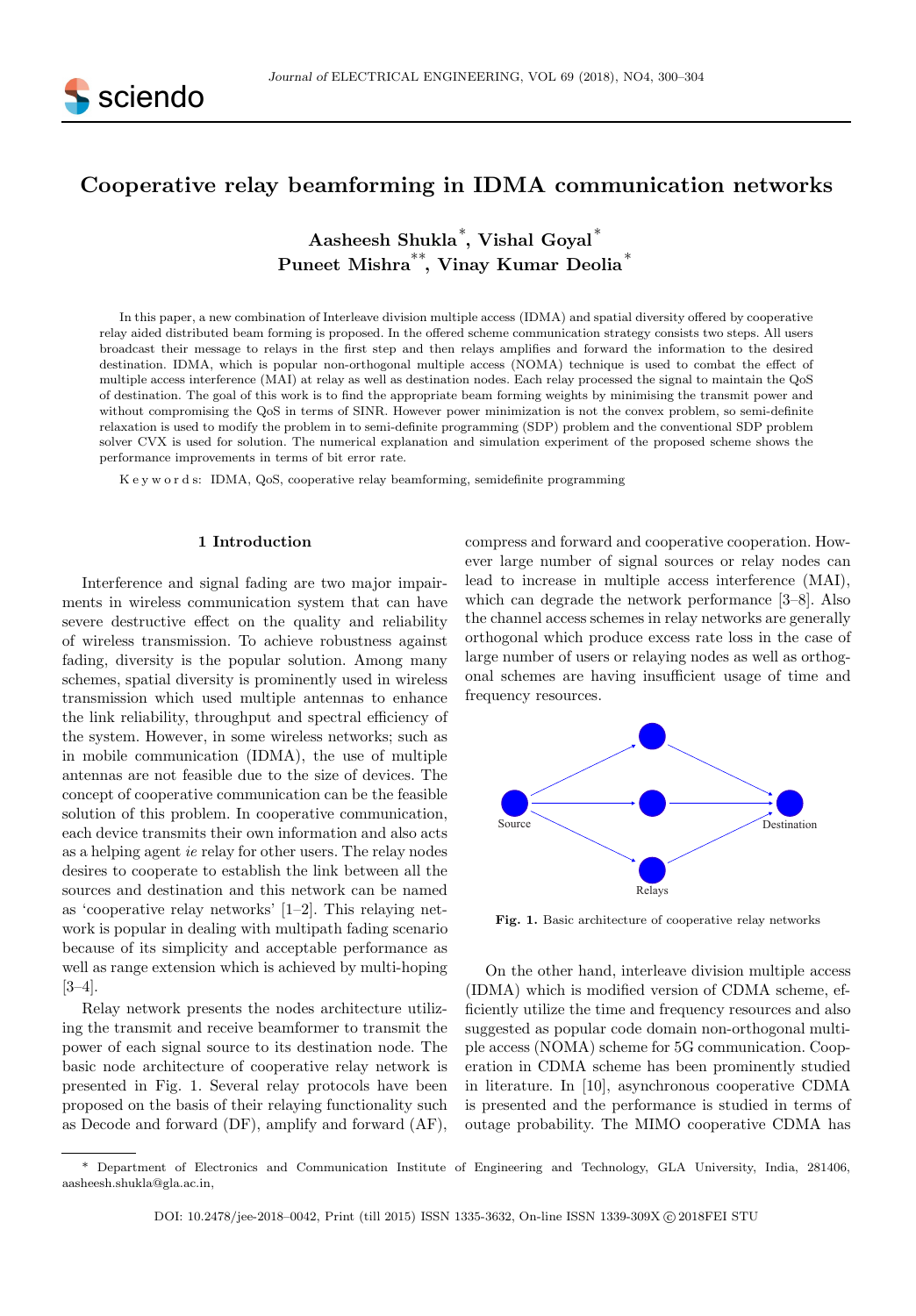

# Cooperative relay beamforming in IDMA communication networks

Aasheesh Shukla<sup>∗</sup> , Vishal Goyal<sup>∗</sup> Puneet Mishra∗∗, Vinay Kumar Deolia<sup>∗</sup>

In this paper, a new combination of Interleave division multiple access (IDMA) and spatial diversity offered by cooperative relay aided distributed beam forming is proposed. In the offered scheme communication strategy consists two steps. All users broadcast their message to relays in the first step and then relays amplifies and forward the information to the desired destination. IDMA, which is popular non-orthogonal multiple access (NOMA) technique is used to combat the effect of multiple access interference (MAI) at relay as well as destination nodes. Each relay processed the signal to maintain the QoS of destination. The goal of this work is to find the appropriate beam forming weights by minimising the transmit power and without compromising the QoS in terms of SINR. However power minimization is not the convex problem, so semi-definite relaxation is used to modify the problem in to semi-definite programming (SDP) problem and the conventional SDP problem solver CVX is used for solution. The numerical explanation and simulation experiment of the proposed scheme shows the performance improvements in terms of bit error rate.

K e y w o r d s: IDMA, QoS, cooperative relay beamforming, semidefinite programming

## 1 Introduction

Interference and signal fading are two major impairments in wireless communication system that can have severe destructive effect on the quality and reliability of wireless transmission. To achieve robustness against fading, diversity is the popular solution. Among many schemes, spatial diversity is prominently used in wireless transmission which used multiple antennas to enhance the link reliability, throughput and spectral efficiency of the system. However, in some wireless networks; such as in mobile communication (IDMA), the use of multiple antennas are not feasible due to the size of devices. The concept of cooperative communication can be the feasible solution of this problem. In cooperative communication, each device transmits their own information and also acts as a helping agent ie relay for other users. The relay nodes desires to cooperate to establish the link between all the sources and destination and this network can be named as 'cooperative relay networks' [1–2]. This relaying network is popular in dealing with multipath fading scenario because of its simplicity and acceptable performance as well as range extension which is achieved by multi-hoping [3–4].

Relay network presents the nodes architecture utilizing the transmit and receive beamformer to transmit the power of each signal source to its destination node. The basic node architecture of cooperative relay network is presented in Fig. 1. Several relay protocols have been proposed on the basis of their relaying functionality such as Decode and forward (DF), amplify and forward (AF), compress and forward and cooperative cooperation. However large number of signal sources or relay nodes can lead to increase in multiple access interference (MAI), which can degrade the network performance [3–8]. Also the channel access schemes in relay networks are generally orthogonal which produce excess rate loss in the case of large number of users or relaying nodes as well as orthogonal schemes are having insufficient usage of time and frequency resources.



Fig. 1. Basic architecture of cooperative relay networks

On the other hand, interleave division multiple access (IDMA) which is modified version of CDMA scheme, efficiently utilize the time and frequency resources and also suggested as popular code domain non-orthogonal multiple access (NOMA) scheme for 5G communication. Cooperation in CDMA scheme has been prominently studied in literature. In [10], asynchronous cooperative CDMA is presented and the performance is studied in terms of outage probability. The MIMO cooperative CDMA has

<sup>\*</sup> Department of Electronics and Communication Institute of Engineering and Technology, GLA University, India, 281406, aasheesh.shukla@gla.ac.in,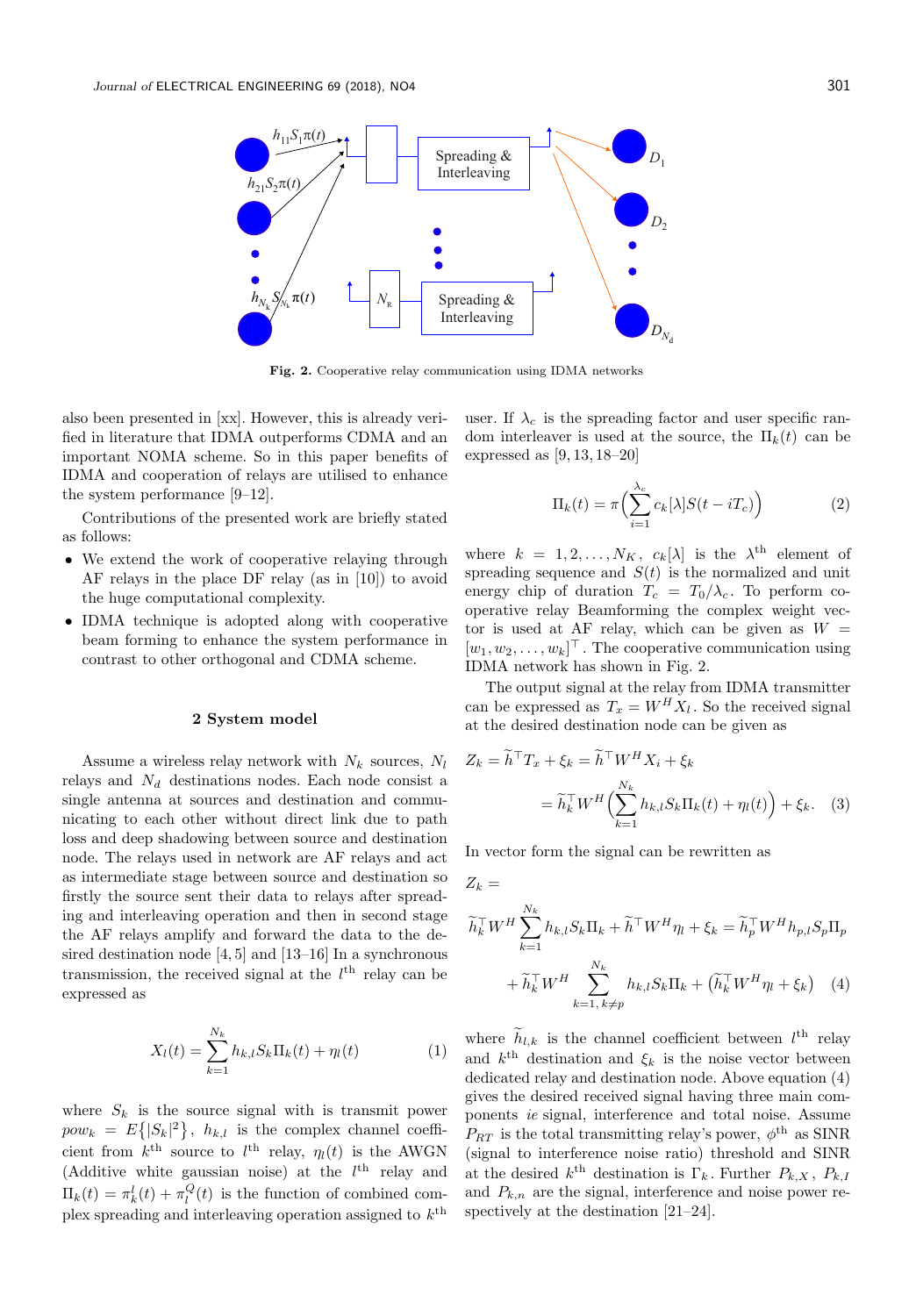

Fig. 2. Cooperative relay communication using IDMA networks

 $Z_k =$ 

also been presented in [xx]. However, this is already verified in literature that IDMA outperforms CDMA and an important NOMA scheme. So in this paper benefits of IDMA and cooperation of relays are utilised to enhance the system performance [9–12].

Contributions of the presented work are briefly stated as follows:

- We extend the work of cooperative relaying through AF relays in the place DF relay (as in [10]) to avoid the huge computational complexity.
- IDMA technique is adopted along with cooperative beam forming to enhance the system performance in contrast to other orthogonal and CDMA scheme.

## 2 System model

Assume a wireless relay network with  $N_k$  sources,  $N_l$ relays and  $N_d$  destinations nodes. Each node consist a single antenna at sources and destination and communicating to each other without direct link due to path loss and deep shadowing between source and destination node. The relays used in network are AF relays and act as intermediate stage between source and destination so firstly the source sent their data to relays after spreading and interleaving operation and then in second stage the AF relays amplify and forward the data to the desired destination node [4, 5] and [13–16] In a synchronous transmission, the received signal at the  $l<sup>th</sup>$  relay can be expressed as

$$
X_l(t) = \sum_{k=1}^{N_k} h_{k,l} S_k \Pi_k(t) + \eta_l(t)
$$
 (1)

where  $S_k$  is the source signal with is transmit power  $pow_k = E\{|S_k|^2\}, h_{k,l}$  is the complex channel coefficient from  $k^{\text{th}}$  source to  $l^{\text{th}}$  relay,  $\eta_l(t)$  is the AWGN (Additive white gaussian noise) at the  $l<sup>th</sup>$  relay and  $\Pi_k(t) = \pi_k^l(t) + \pi_l^Q(t)$  is the function of combined complex spreading and interleaving operation assigned to  $k^{\text{th}}$ 

user. If  $\lambda_c$  is the spreading factor and user specific random interleaver is used at the source, the  $\Pi_k(t)$  can be expressed as [9, 13, 18–20]

$$
\Pi_k(t) = \pi \left( \sum_{i=1}^{\lambda_c} c_k[\lambda] S(t - iT_c) \right) \tag{2}
$$

where  $k = 1, 2, ..., N_K$ ,  $c_k[\lambda]$  is the  $\lambda^{\text{th}}$  element of spreading sequence and  $S(t)$  is the normalized and unit energy chip of duration  $T_c = T_0/\lambda_c$ . To perform cooperative relay Beamforming the complex weight vector is used at AF relay, which can be given as  $W =$  $[w_1, w_2, \ldots, w_k]^\top$ . The cooperative communication using IDMA network has shown in Fig. 2.

The output signal at the relay from IDMA transmitter can be expressed as  $T_x = W^H X_l$ . So the received signal at the desired destination node can be given as

$$
Z_k = \widetilde{h}^\top T_x + \xi_k = \widetilde{h}^\top W^H X_i + \xi_k
$$
  
=  $\widetilde{h}_k^\top W^H \Big( \sum_{k=1}^{N_k} h_{k,l} S_k \Pi_k(t) + \eta_l(t) \Big) + \xi_k.$  (3)

In vector form the signal can be rewritten as

$$
\widetilde{h}_k^\top W^H \sum_{k=1}^{N_k} h_{k,l} S_k \Pi_k + \widetilde{h}^\top W^H \eta_l + \xi_k = \widetilde{h}_p^\top W^H h_{p,l} S_p \Pi_p + \widetilde{h}_k^\top W^H \sum_{k=1, k \neq p}^{N_k} h_{k,l} S_k \Pi_k + \left( \widetilde{h}_k^\top W^H \eta_l + \xi_k \right) \tag{4}
$$

where  $h_{l,k}$  is the channel coefficient between  $l^{\text{th}}$  relay and  $k^{\text{th}}$  destination and  $\xi_k$  is the noise vector between dedicated relay and destination node. Above equation (4) gives the desired received signal having three main components ie signal, interference and total noise. Assume  $P_{RT}$  is the total transmitting relay's power,  $\phi^{\text{th}}$  as SINR (signal to interference noise ratio) threshold and SINR at the desired  $k^{\text{th}}$  destination is  $\Gamma_k$ . Further  $P_{k,X}$ ,  $P_{k,I}$ and  $P_{k,n}$  are the signal, interference and noise power respectively at the destination  $[21-24]$ .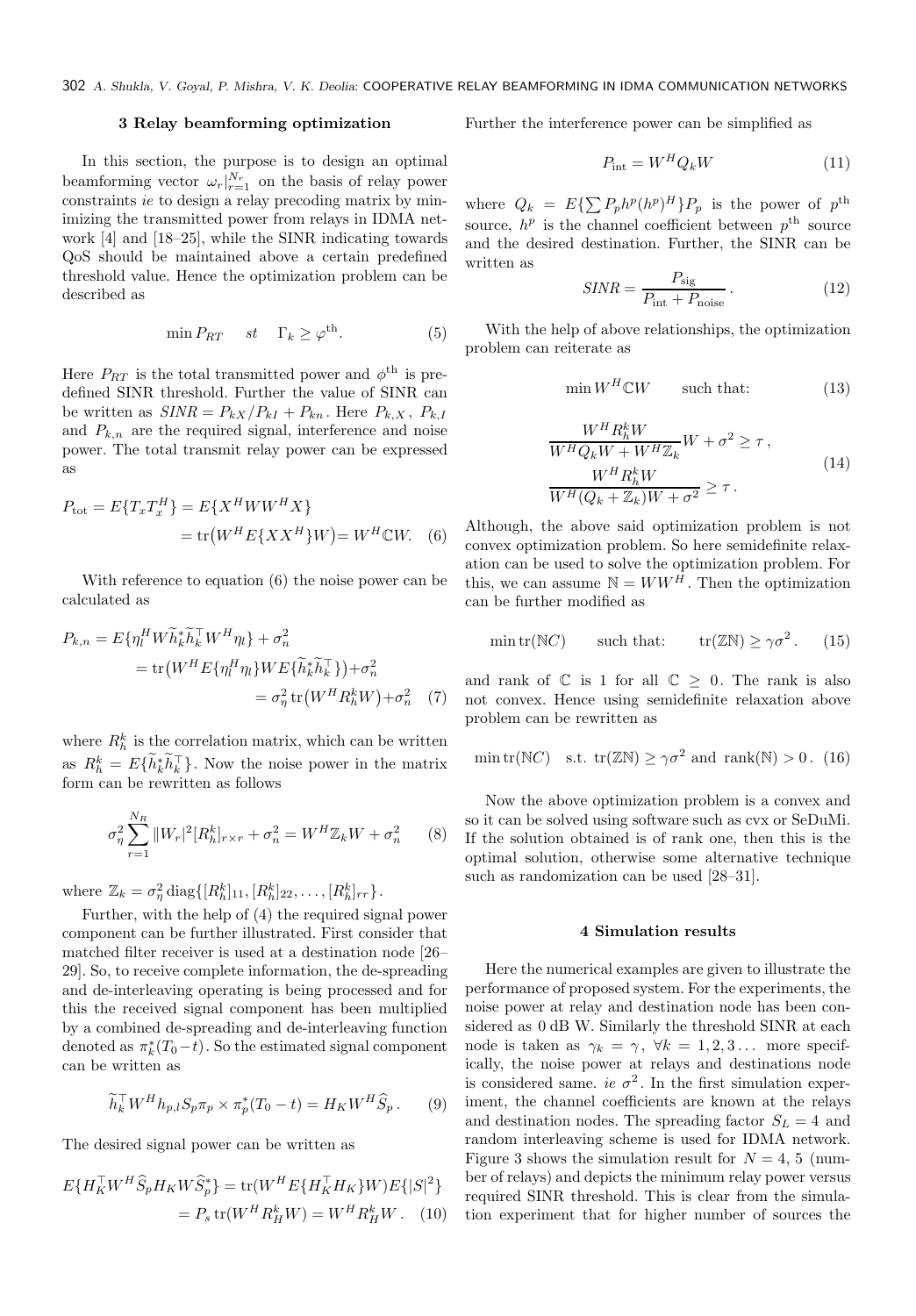# 3 Relay beamforming optimization

In this section, the purpose is to design an optimal beamforming vector  $\omega_r|_{r=1}^{N_r}$  on the basis of relay power constraints ie to design a relay precoding matrix by minimizing the transmitted power from relays in IDMA network [4] and [18–25], while the SINR indicating towards QoS should be maintained above a certain predefined threshold value. Hence the optimization problem can be described as

$$
\min P_{RT} \quad st \quad \Gamma_k \ge \varphi^{\text{th}}.\tag{5}
$$

Here  $P_{RT}$  is the total transmitted power and  $\phi^{\text{th}}$  is predefined SINR threshold. Further the value of SINR can be written as  $SINR = P_{kX}/P_{kI} + P_{kn}$ . Here  $P_{k,X}$ ,  $P_{k,I}$ and  $P_{k,n}$  are the required signal, interference and noise power. The total transmit relay power can be expressed as

$$
P_{\text{tot}} = E\{T_x T_x^H\} = E\{X^H W W^H X\}
$$

$$
= \text{tr}\left(W^H E\{X X^H\} W\right) = W^H C W. \quad (6)
$$

With reference to equation (6) the noise power can be calculated as

$$
P_{k,n} = E\{\eta_l^H W \tilde{h}_k^* \tilde{h}_k^\top W^H \eta_l\} + \sigma_n^2
$$
  
= tr(W<sup>H</sup> E\{\eta\_l^H \eta\_l\} W E\{\tilde{h}\_k^\* \tilde{h}\_k^\top\}) + \sigma\_n^2  
= \sigma\_n^2 tr(W^H R\_h^k W) + \sigma\_n^2 (7)

where  $R_h^k$  is the correlation matrix, which can be written as  $R_h^k = E\{\tilde{h}_k^*\tilde{h}_k^{\top}\}\.$  Now the noise power in the matrix form can be rewritten as follows

$$
\sigma_{\eta}^{2} \sum_{r=1}^{N_{R}} ||W_{r}|^{2} [R_{h}^{k}]_{r \times r} + \sigma_{n}^{2} = W^{H} \mathbb{Z}_{k} W + \sigma_{n}^{2} \qquad (8)
$$

where  $\mathbb{Z}_k = \sigma_{\eta}^2 \text{diag}\{[R_h^k]_{11}, [R_h^k]_{22}, \ldots, [R_h^k]_{rr}\}.$ 

Further, with the help of (4) the required signal power component can be further illustrated. First consider that matched filter receiver is used at a destination node [26– 29]. So, to receive complete information, the de-spreading and de-interleaving operating is being processed and for this the received signal component has been multiplied by a combined de-spreading and de-interleaving function denoted as  $\pi_k^*(T_0-t)$ . So the estimated signal component can be written as

$$
\widetilde{h}_k^\top W^H h_{p,l} S_p \pi_p \times \pi_p^*(T_0 - t) = H_K W^H \widehat{S}_p. \tag{9}
$$

The desired signal power can be written as

$$
E\{H_K^{\top}W^H\hat{S}_pH_KW\hat{S}_p^*\} = \text{tr}(W^HE\{H_K^{\top}H_K\}W)E\{|S|^2\}
$$

$$
= P_s\text{tr}(W^HR_H^kW) = W^HR_H^kW. \quad (10)
$$

Further the interference power can be simplified as

$$
P_{\text{int}} = W^H Q_k W \tag{11}
$$

where  $Q_k = E\{\sum P_p h^p (h^p)^H\} P_p$  is the power of  $p^{\text{th}}$ source,  $h^p$  is the channel coefficient between  $p^{\text{th}}$  source and the desired destination. Further, the SINR can be written as

$$
SINR = \frac{P_{\text{sig}}}{P_{\text{int}} + P_{\text{noise}}} \,. \tag{12}
$$

With the help of above relationships, the optimization problem can reiterate as

$$
\min W^H \mathbb{C} W \qquad \text{such that:} \tag{13}
$$

$$
\frac{W^H R_h^k W}{W^H Q_k W + W^H \mathbb{Z}_k} W + \sigma^2 \ge \tau,
$$
\n
$$
\frac{W^H R_h^k W}{W^H (Q_k + \mathbb{Z}_k) W + \sigma^2} \ge \tau.
$$
\n(14)

Although, the above said optimization problem is not convex optimization problem. So here semidefinite relaxation can be used to solve the optimization problem. For this, we can assume  $\mathbb{N} = WW^H$ . Then the optimization can be further modified as

$$
\min \text{tr}(\mathbb{N}C) \qquad \text{such that:} \qquad \text{tr}(\mathbb{ZN}) \ge \gamma \sigma^2. \tag{15}
$$

and rank of  $\mathbb C$  is 1 for all  $\mathbb C \geq 0$ . The rank is also not convex. Hence using semidefinite relaxation above problem can be rewritten as

$$
\min \text{tr}(\mathbb{N}C) \quad \text{s.t.} \ \text{tr}(\mathbb{Z}\mathbb{N}) \ge \gamma \sigma^2 \text{ and } \text{rank}(\mathbb{N}) > 0. \tag{16}
$$

Now the above optimization problem is a convex and so it can be solved using software such as cvx or SeDuMi. If the solution obtained is of rank one, then this is the optimal solution, otherwise some alternative technique such as randomization can be used [28–31].

### 4 Simulation results

Here the numerical examples are given to illustrate the performance of proposed system. For the experiments, the noise power at relay and destination node has been considered as  $0$  dB W. Similarly the threshold SINR at each node is taken as  $\gamma_k = \gamma$ ,  $\forall k = 1, 2, 3...$  more specifically, the noise power at relays and destinations node is considered same. ie  $\sigma^2$ . In the first simulation experiment, the channel coefficients are known at the relays and destination nodes. The spreading factor  $S_L = 4$  and random interleaving scheme is used for IDMA network. Figure 3 shows the simulation result for  $N = 4, 5$  (number of relays) and depicts the minimum relay power versus required SINR threshold. This is clear from the simulation experiment that for higher number of sources the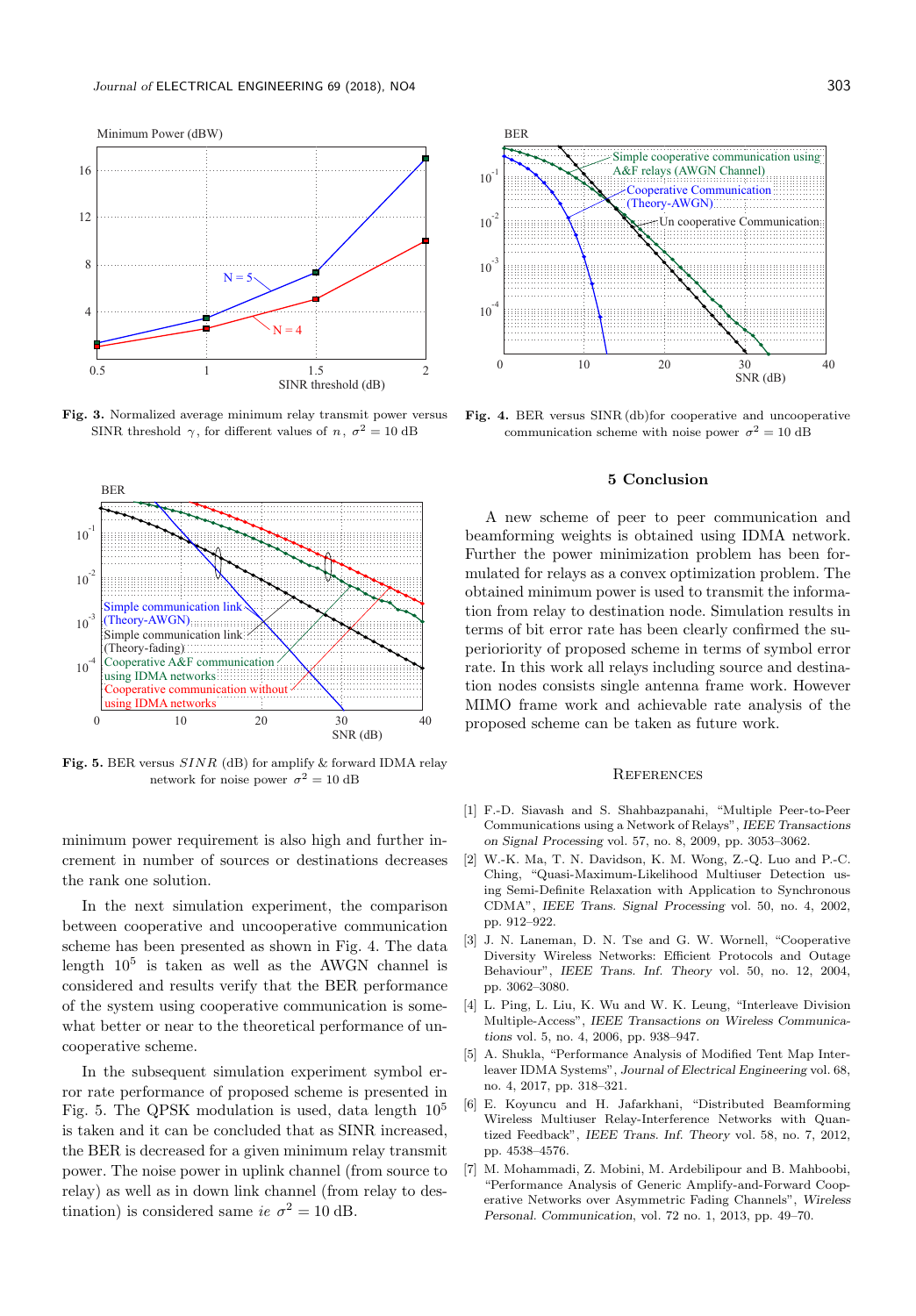

Fig. 3. Normalized average minimum relay transmit power versus SINR threshold  $\gamma$ , for different values of n,  $\sigma^2 = 10$  dB



Fig. 5. BER versus  $SINR$  (dB) for amplify & forward IDMA relay network for noise power  $\sigma^2 = 10$  dB

minimum power requirement is also high and further increment in number of sources or destinations decreases the rank one solution.

In the next simulation experiment, the comparison between cooperative and uncooperative communication scheme has been presented as shown in Fig. 4. The data length  $10^5$  is taken as well as the AWGN channel is considered and results verify that the BER performance of the system using cooperative communication is somewhat better or near to the theoretical performance of uncooperative scheme.

In the subsequent simulation experiment symbol error rate performance of proposed scheme is presented in Fig. 5. The QPSK modulation is used, data length 10<sup>5</sup> is taken and it can be concluded that as SINR increased, the BER is decreased for a given minimum relay transmit power. The noise power in uplink channel (from source to relay) as well as in down link channel (from relay to destination) is considered same ie  $\sigma^2 = 10$  dB.



Fig. 4. BER versus SINR (db)for cooperative and uncooperative communication scheme with noise power  $\sigma^2 = 10$  dB

#### 5 Conclusion

A new scheme of peer to peer communication and beamforming weights is obtained using IDMA network. Further the power minimization problem has been formulated for relays as a convex optimization problem. The obtained minimum power is used to transmit the information from relay to destination node. Simulation results in terms of bit error rate has been clearly confirmed the superioriority of proposed scheme in terms of symbol error rate. In this work all relays including source and destination nodes consists single antenna frame work. However MIMO frame work and achievable rate analysis of the proposed scheme can be taken as future work.

#### **REFERENCES**

- [1] F.-D. Siavash and S. Shahbazpanahi, "Multiple Peer-to-Peer Communications using a Network of Relays", IEEE Transactions on Signal Processing vol. 57, no. 8, 2009, pp. 3053–3062.
- [2] W.-K. Ma, T. N. Davidson, K. M. Wong, Z.-Q. Luo and P.-C. Ching, "Quasi-Maximum-Likelihood Multiuser Detection using Semi-Definite Relaxation with Application to Synchronous CDMA", IEEE Trans. Signal Processing vol. 50, no. 4, 2002, pp. 912–922.
- [3] J. N. Laneman, D. N. Tse and G. W. Wornell, "Cooperative Diversity Wireless Networks: Efficient Protocols and Outage Behaviour", IEEE Trans. Inf. Theory vol. 50, no. 12, 2004, pp. 3062–3080.
- [4] L. Ping, L. Liu, K. Wu and W. K. Leung, "Interleave Division Multiple-Access", IEEE Transactions on Wireless Communications vol. 5, no. 4, 2006, pp. 938–947.
- [5] A. Shukla, "Performance Analysis of Modified Tent Map Interleaver IDMA Systems", Journal of Electrical Engineering vol. 68, no. 4, 2017, pp. 318–321.
- [6] E. Koyuncu and H. Jafarkhani, "Distributed Beamforming Wireless Multiuser Relay-Interference Networks with Quantized Feedback", IEEE Trans. Inf. Theory vol. 58, no. 7, 2012, pp. 4538–4576.
- [7] M. Mohammadi, Z. Mobini, M. Ardebilipour and B. Mahboobi, "Performance Analysis of Generic Amplify-and-Forward Cooperative Networks over Asymmetric Fading Channels", Wireless Personal. Communication, vol. 72 no. 1, 2013, pp. 49–70.